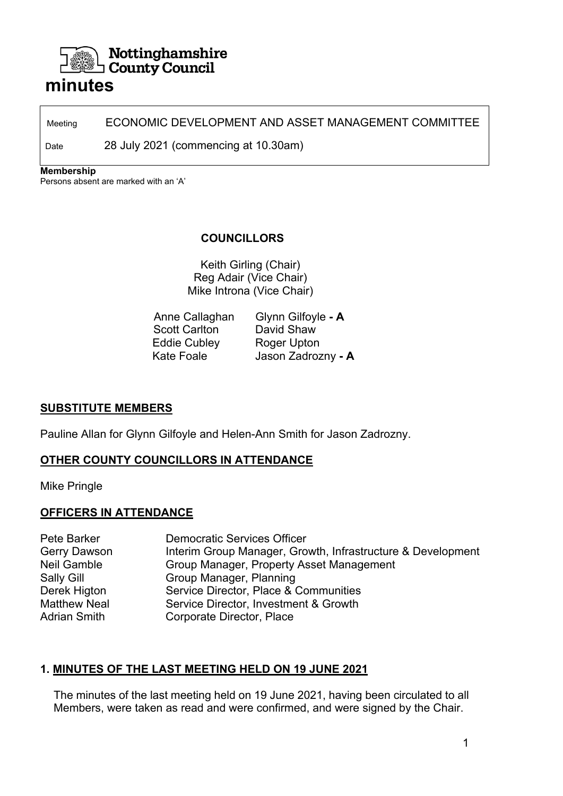# Nottinghamshire **∟ County Council**

# **minutes**

Meeting **ECONOMIC DEVELOPMENT AND ASSET MANAGEMENT COMMITTEE** 

Date 28 July 2021 (commencing at 10.30am)

**Membership** 

Persons absent are marked with an 'A'

# **COUNCILLORS**

Keith Girling (Chair) Reg Adair (Vice Chair) Mike Introna (Vice Chair)

| Anne Callaghan       | Glynn Gilfoyle - A |
|----------------------|--------------------|
| <b>Scott Carlton</b> | David Shaw         |
| <b>Eddie Cubley</b>  | Roger Upton        |
| <b>Kate Foale</b>    | Jason Zadrozny - A |

### **SUBSTITUTE MEMBERS**

Pauline Allan for Glynn Gilfoyle and Helen-Ann Smith for Jason Zadrozny.

# **OTHER COUNTY COUNCILLORS IN ATTENDANCE**

Mike Pringle

# **OFFICERS IN ATTENDANCE**

Pete Barker Democratic Services Officer Gerry Dawson Interim Group Manager, Growth, Infrastructure & Development Neil Gamble Group Manager, Property Asset Management Sally Gill **Group Manager, Planning** Derek Higton Service Director, Place & Communities Matthew Neal Service Director, Investment & Growth Adrian Smith Corporate Director, Place

# **1. MINUTES OF THE LAST MEETING HELD ON 19 JUNE 2021**

The minutes of the last meeting held on 19 June 2021, having been circulated to all Members, were taken as read and were confirmed, and were signed by the Chair.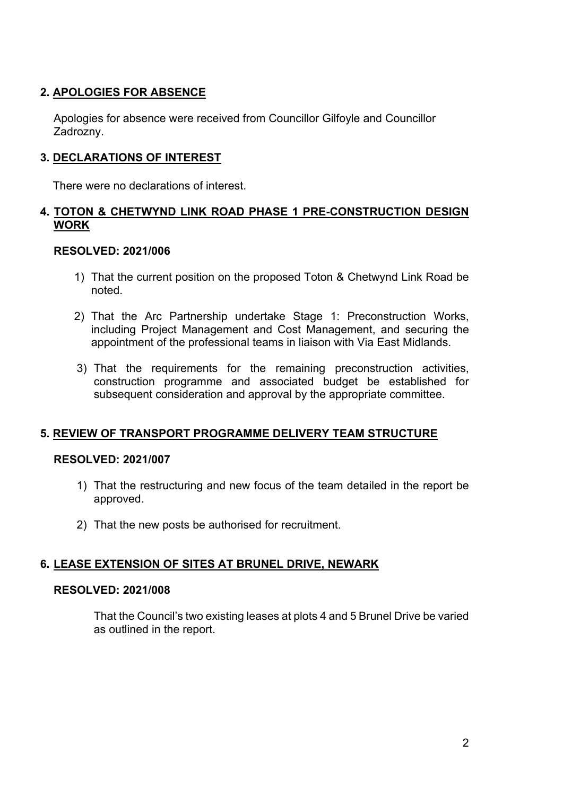# **2. APOLOGIES FOR ABSENCE**

 Apologies for absence were received from Councillor Gilfoyle and Councillor Zadrozny.

# **3. DECLARATIONS OF INTEREST**

There were no declarations of interest.

# **4. TOTON & CHETWYND LINK ROAD PHASE 1 PRE-CONSTRUCTION DESIGN WORK**

# **RESOLVED: 2021/006**

- 1) That the current position on the proposed Toton & Chetwynd Link Road be noted.
- 2) That the Arc Partnership undertake Stage 1: Preconstruction Works, including Project Management and Cost Management, and securing the appointment of the professional teams in liaison with Via East Midlands.
- 3) That the requirements for the remaining preconstruction activities, construction programme and associated budget be established for subsequent consideration and approval by the appropriate committee.

# **5. REVIEW OF TRANSPORT PROGRAMME DELIVERY TEAM STRUCTURE**

### **RESOLVED: 2021/007**

- 1) That the restructuring and new focus of the team detailed in the report be approved.
- 2) That the new posts be authorised for recruitment.

# **6. LEASE EXTENSION OF SITES AT BRUNEL DRIVE, NEWARK**

### **RESOLVED: 2021/008**

That the Council's two existing leases at plots 4 and 5 Brunel Drive be varied as outlined in the report.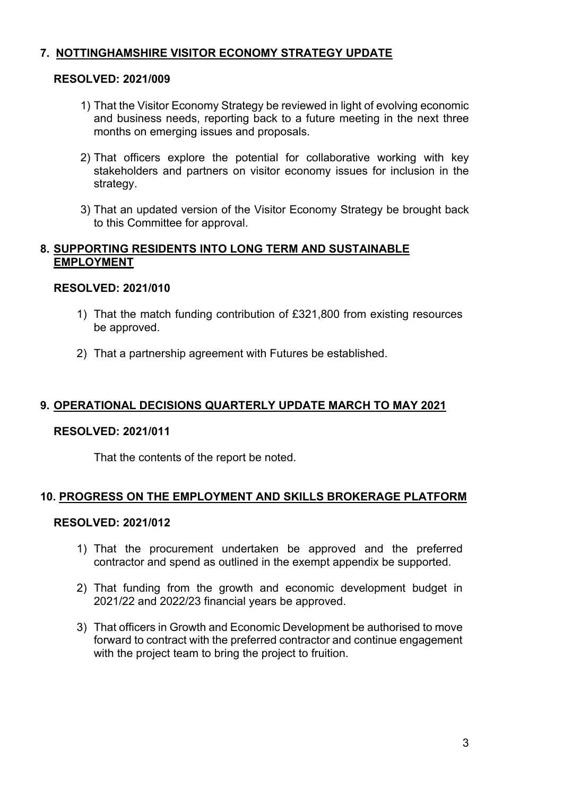# **7. NOTTINGHAMSHIRE VISITOR ECONOMY STRATEGY UPDATE**

#### **RESOLVED: 2021/009**

- 1) That the Visitor Economy Strategy be reviewed in light of evolving economic and business needs, reporting back to a future meeting in the next three months on emerging issues and proposals.
- 2) That officers explore the potential for collaborative working with key stakeholders and partners on visitor economy issues for inclusion in the strategy.
- 3) That an updated version of the Visitor Economy Strategy be brought back to this Committee for approval.

### **8. SUPPORTING RESIDENTS INTO LONG TERM AND SUSTAINABLE EMPLOYMENT**

### **RESOLVED: 2021/010**

- 1) That the match funding contribution of £321,800 from existing resources be approved.
- 2) That a partnership agreement with Futures be established.

### **9. OPERATIONAL DECISIONS QUARTERLY UPDATE MARCH TO MAY 2021**

#### **RESOLVED: 2021/011**

That the contents of the report be noted.

#### **10. PROGRESS ON THE EMPLOYMENT AND SKILLS BROKERAGE PLATFORM**

#### **RESOLVED: 2021/012**

- 1) That the procurement undertaken be approved and the preferred contractor and spend as outlined in the exempt appendix be supported.
- 2) That funding from the growth and economic development budget in 2021/22 and 2022/23 financial years be approved.
- 3) That officers in Growth and Economic Development be authorised to move forward to contract with the preferred contractor and continue engagement with the project team to bring the project to fruition.